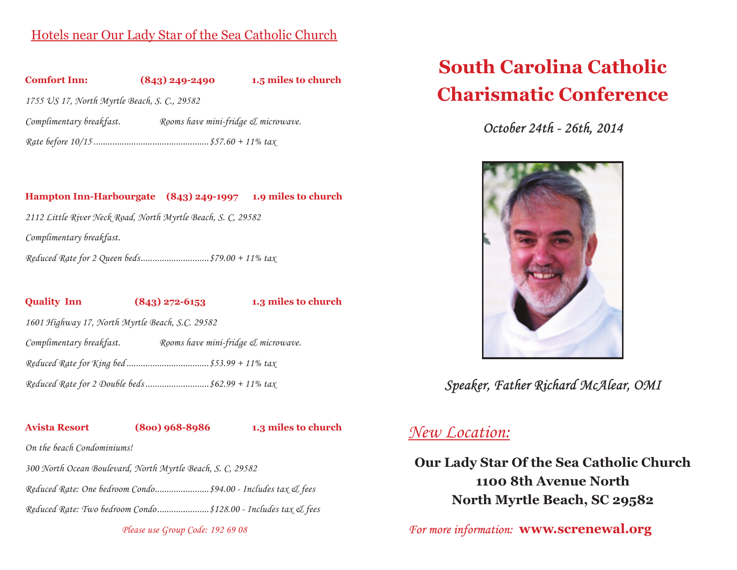## Hotels near Our Lady Star of the Sea Catholic Church



### **Hampton Inn-Harbourgate (843) 249-1997 1.9 miles to church**

*2112 Little River Neck Road, North Myrtle Beach, S. C, 29582*

*Complimentary breakfast.*

*Reduced Rate for 2 Queen beds.............................\$79.00 + 11% tax*

**Quality Inn (843) 272-6153 1.3 miles to church**

*1601 Highway 17, North Myrtle Beach, S.C. 29582*

*Complimentary breakfast. Rooms have mini-fridge & microwave.*

*Reduced Rate for King bed ...................................\$53.99 + 11% tax*

*Reduced Rate for 2 Double beds ...........................\$62.99 + 11% tax*

**Avista Resort (8oo) 968-8986 1.3 miles to church**

*On the beach Condominiums!*

*300 North Ocean Boulevard, North Myrtle Beach, S. C, 29582*

*Reduced Rate: One bedroom Condo.......................\$94.00 - Includes tax & fees*

*Reduced Rate: Two bedroom Condo......................\$128.00 - Includes tax & fees*

*Please use Group Code: 192 69 08*

# **South Carolina Catholic Charismatic Conference**

*October 24th - 26th, 2014*



*Speaker, Father Richard McAlear, OMI*

## *New Location:*

**Our Lady Star Of the Sea Catholic Church 1100 8th Avenue North North Myrtle Beach, SC 29582**

 *For more information:* **www.screnewal.org**